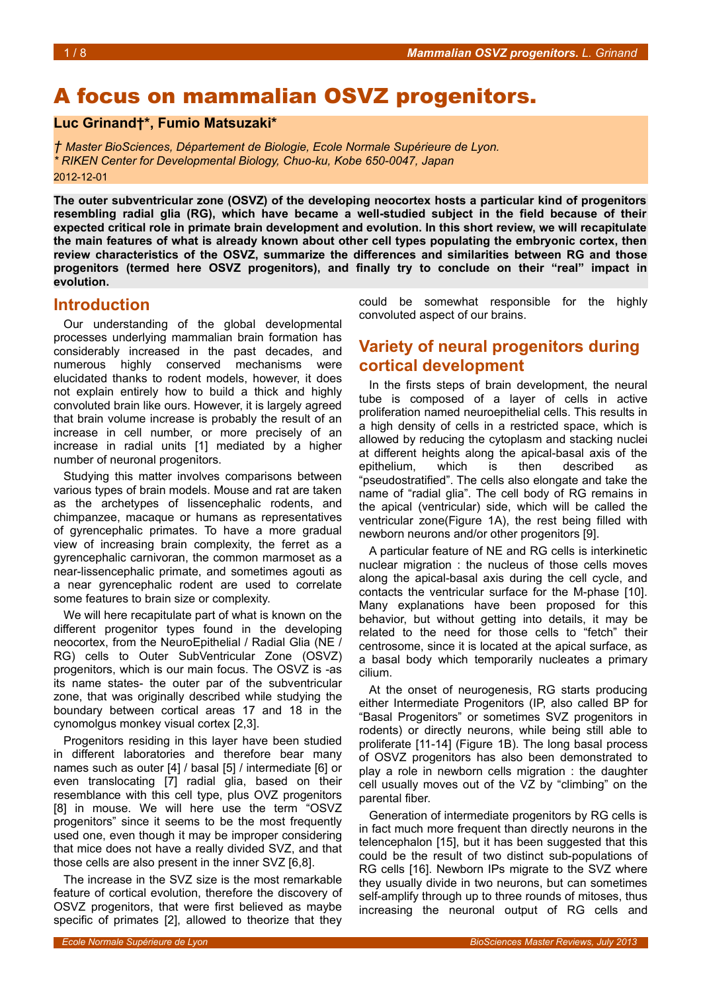# A focus on mammalian OSVZ progenitors.

#### **Luc Grinand†\*, Fumio Matsuzaki\***

*† Master BioSciences, Département de Biologie, Ecole Normale Supérieure de Lyon. \* RIKEN Center for Developmental Biology, Chuo-ku, Kobe 650-0047, Japan* 2012-12-01

**The outer subventricular zone (OSVZ) of the developing neocortex hosts a particular kind of progenitors resembling radial glia (RG), which have became a well-studied subject in the field because of their expected critical role in primate brain development and evolution. In this short review, we will recapitulate the main features of what is already known about other cell types populating the embryonic cortex, then review characteristics of the OSVZ, summarize the differences and similarities between RG and those progenitors (termed here OSVZ progenitors), and finally try to conclude on their "real" impact in evolution.**

#### **Introduction**

Our understanding of the global developmental processes underlying mammalian brain formation has considerably increased in the past decades, and numerous highly conserved mechanisms were elucidated thanks to rodent models, however, it does not explain entirely how to build a thick and highly convoluted brain like ours. However, it is largely agreed that brain volume increase is probably the result of an increase in cell number, or more precisely of an increase in radial units [1] mediated by a higher number of neuronal progenitors.

Studying this matter involves comparisons between various types of brain models. Mouse and rat are taken as the archetypes of lissencephalic rodents, and chimpanzee, macaque or humans as representatives of gyrencephalic primates. To have a more gradual view of increasing brain complexity, the ferret as a gyrencephalic carnivoran, the common marmoset as a near-lissencephalic primate, and sometimes agouti as a near gyrencephalic rodent are used to correlate some features to brain size or complexity.

We will here recapitulate part of what is known on the different progenitor types found in the developing neocortex, from the NeuroEpithelial / Radial Glia (NE / RG) cells to Outer SubVentricular Zone (OSVZ) progenitors, which is our main focus. The OSVZ is -as its name states- the outer par of the subventricular zone, that was originally described while studying the boundary between cortical areas 17 and 18 in the cynomolgus monkey visual cortex [2,3].

Progenitors residing in this layer have been studied in different laboratories and therefore bear many names such as outer [4] / basal [5] / intermediate [6] or even translocating [7] radial glia, based on their resemblance with this cell type, plus OVZ progenitors [8] in mouse. We will here use the term "OSVZ progenitors" since it seems to be the most frequently used one, even though it may be improper considering that mice does not have a really divided SVZ, and that those cells are also present in the inner SVZ [6,8].

The increase in the SVZ size is the most remarkable feature of cortical evolution, therefore the discovery of OSVZ progenitors, that were first believed as maybe specific of primates [2], allowed to theorize that they

could be somewhat responsible for the highly convoluted aspect of our brains.

## **Variety of neural progenitors during cortical development**

In the firsts steps of brain development, the neural tube is composed of a layer of cells in active proliferation named neuroepithelial cells. This results in a high density of cells in a restricted space, which is allowed by reducing the cytoplasm and stacking nuclei at different heights along the apical-basal axis of the epithelium, which is then described as "pseudostratified". The cells also elongate and take the name of "radial glia". The cell body of RG remains in the apical (ventricular) side, which will be called the ventricular zone(Figure [1A](#page-1-0)), the rest being filled with newborn neurons and/or other progenitors [9].

A particular feature of NE and RG cells is interkinetic nuclear migration : the nucleus of those cells moves along the apical-basal axis during the cell cycle, and contacts the ventricular surface for the M-phase [10]. Many explanations have been proposed for this behavior, but without getting into details, it may be related to the need for those cells to "fetch" their centrosome, since it is located at the apical surface, as a basal body which temporarily nucleates a primary cilium.

At the onset of neurogenesis, RG starts producing either Intermediate Progenitors (IP, also called BP for "Basal Progenitors" or sometimes SVZ progenitors in rodents) or directly neurons, while being still able to proliferate [11-14] (Figure [1B](#page-1-0)). The long basal process of OSVZ progenitors has also been demonstrated to play a role in newborn cells migration : the daughter cell usually moves out of the VZ by "climbing" on the parental fiber.

Generation of intermediate progenitors by RG cells is in fact much more frequent than directly neurons in the telencephalon [15], but it has been suggested that this could be the result of two distinct sub-populations of RG cells [16]. Newborn IPs migrate to the SVZ where they usually divide in two neurons, but can sometimes self-amplify through up to three rounds of mitoses, thus increasing the neuronal output of RG cells and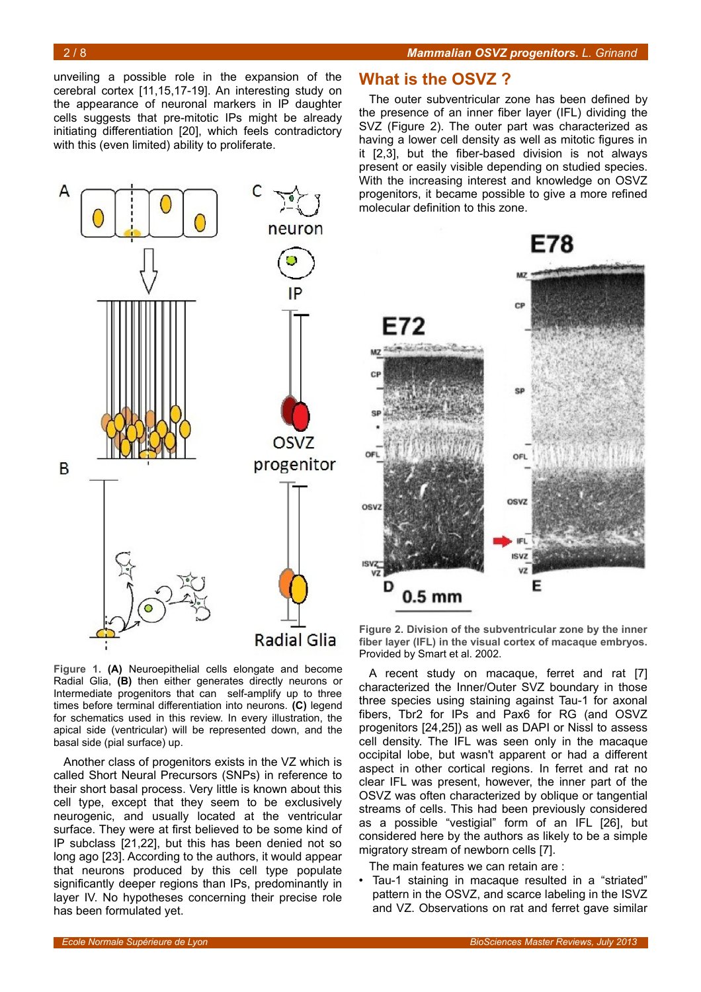unveiling a possible role in the expansion of the cerebral cortex [11,15,17-19]. An interesting study on the appearance of neuronal markers in IP daughter cells suggests that pre-mitotic IPs might be already initiating differentiation [20], which feels contradictory with this (even limited) ability to proliferate.



<span id="page-1-0"></span>**Figure 1. (A)** Neuroepithelial cells elongate and become Radial Glia, **(B)** then either generates directly neurons or Intermediate progenitors that can self-amplify up to three times before terminal differentiation into neurons. **(C)** legend for schematics used in this review. In every illustration, the apical side (ventricular) will be represented down, and the basal side (pial surface) up.

Another class of progenitors exists in the VZ which is called Short Neural Precursors (SNPs) in reference to their short basal process. Very little is known about this cell type, except that they seem to be exclusively neurogenic, and usually located at the ventricular surface. They were at first believed to be some kind of IP subclass [21,22], but this has been denied not so long ago [23]. According to the authors, it would appear that neurons produced by this cell type populate significantly deeper regions than IPs, predominantly in layer IV. No hypotheses concerning their precise role has been formulated yet.

#### **What is the OSVZ ?**

The outer subventricular zone has been defined by the presence of an inner fiber layer (IFL) dividing the SVZ (Figure [2\)](#page-1-1). The outer part was characterized as having a lower cell density as well as mitotic figures in it [2,3], but the fiber-based division is not always present or easily visible depending on studied species. With the increasing interest and knowledge on OSVZ progenitors, it became possible to give a more refined molecular definition to this zone.



<span id="page-1-1"></span>**Figure 2. Division of the subventricular zone by the inner fiber layer (IFL) in the visual cortex of macaque embryos.** Provided by Smart et al. 2002.

A recent study on macaque, ferret and rat [7] characterized the Inner/Outer SVZ boundary in those three species using staining against Tau-1 for axonal fibers, Tbr2 for IPs and Pax6 for RG (and OSVZ progenitors [24,25]) as well as DAPI or Nissl to assess cell density. The IFL was seen only in the macaque occipital lobe, but wasn't apparent or had a different aspect in other cortical regions. In ferret and rat no clear IFL was present, however, the inner part of the OSVZ was often characterized by oblique or tangential streams of cells. This had been previously considered as a possible "vestigial" form of an IFL [26], but considered here by the authors as likely to be a simple migratory stream of newborn cells [7].

The main features we can retain are :

• Tau-1 staining in macaque resulted in a "striated" pattern in the OSVZ, and scarce labeling in the ISVZ and VZ. Observations on rat and ferret gave similar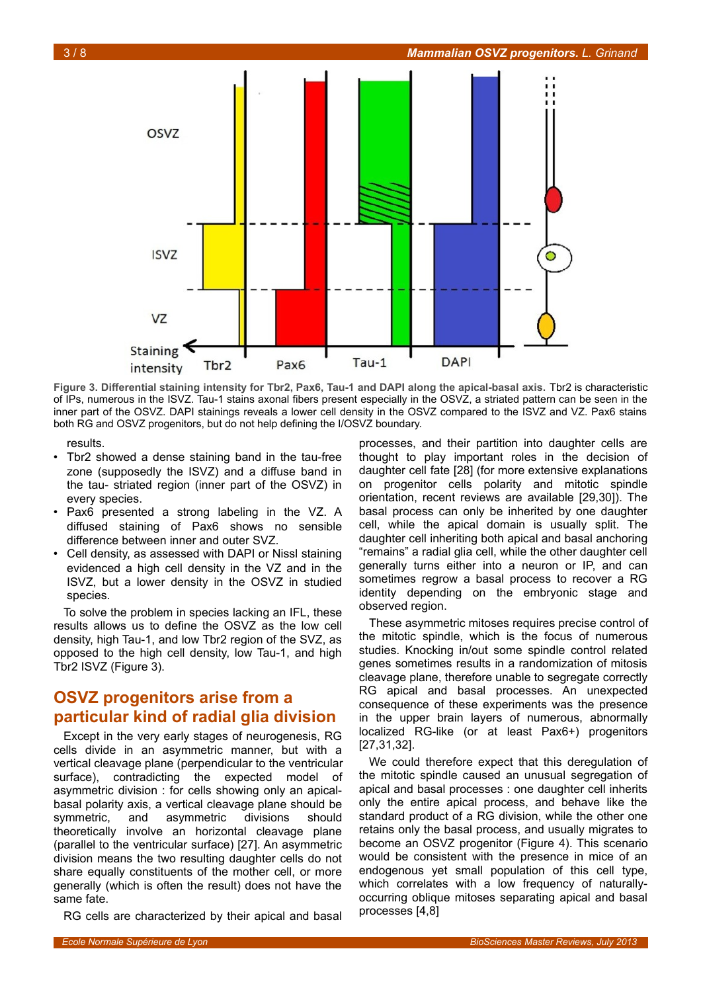

<span id="page-2-0"></span>**Figure 3. Differential staining intensity for Tbr2, Pax6, Tau-1 and DAPI along the apical-basal axis.** Tbr2 is characteristic of IPs, numerous in the ISVZ. Tau-1 stains axonal fibers present especially in the OSVZ, a striated pattern can be seen in the inner part of the OSVZ. DAPI stainings reveals a lower cell density in the OSVZ compared to the ISVZ and VZ. Pax6 stains both RG and OSVZ progenitors, but do not help defining the I/OSVZ boundary.

results.

- Tbr2 showed a dense staining band in the tau-free zone (supposedly the ISVZ) and a diffuse band in the tau- striated region (inner part of the OSVZ) in every species.
- Pax6 presented a strong labeling in the VZ. A diffused staining of Pax6 shows no sensible difference between inner and outer SVZ.
- Cell density, as assessed with DAPI or Nissl staining evidenced a high cell density in the VZ and in the ISVZ, but a lower density in the OSVZ in studied species.

To solve the problem in species lacking an IFL, these results allows us to define the OSVZ as the low cell density, high Tau-1, and low Tbr2 region of the SVZ, as opposed to the high cell density, low Tau-1, and high Tbr2 ISVZ (Figure [3\)](#page-2-0).

# **OSVZ progenitors arise from a particular kind of radial glia division**

Except in the very early stages of neurogenesis, RG cells divide in an asymmetric manner, but with a vertical cleavage plane (perpendicular to the ventricular surface), contradicting the expected model of asymmetric division : for cells showing only an apicalbasal polarity axis, a vertical cleavage plane should be symmetric, and asymmetric divisions should theoretically involve an horizontal cleavage plane (parallel to the ventricular surface) [27]. An asymmetric division means the two resulting daughter cells do not share equally constituents of the mother cell, or more generally (which is often the result) does not have the same fate.

RG cells are characterized by their apical and basal

processes, and their partition into daughter cells are thought to play important roles in the decision of daughter cell fate [28] (for more extensive explanations on progenitor cells polarity and mitotic spindle orientation, recent reviews are available [29,30]). The basal process can only be inherited by one daughter cell, while the apical domain is usually split. The daughter cell inheriting both apical and basal anchoring "remains" a radial glia cell, while the other daughter cell generally turns either into a neuron or IP, and can sometimes regrow a basal process to recover a RG identity depending on the embryonic stage and observed region.

These asymmetric mitoses requires precise control of the mitotic spindle, which is the focus of numerous studies. Knocking in/out some spindle control related genes sometimes results in a randomization of mitosis cleavage plane, therefore unable to segregate correctly RG apical and basal processes. An unexpected consequence of these experiments was the presence in the upper brain layers of numerous, abnormally localized RG-like (or at least Pax6+) progenitors [27,31,32].

We could therefore expect that this deregulation of the mitotic spindle caused an unusual segregation of apical and basal processes : one daughter cell inherits only the entire apical process, and behave like the standard product of a RG division, while the other one retains only the basal process, and usually migrates to become an OSVZ progenitor (Figure [4\)](#page-3-0). This scenario would be consistent with the presence in mice of an endogenous yet small population of this cell type, which correlates with a low frequency of naturallyoccurring oblique mitoses separating apical and basal processes [4,8]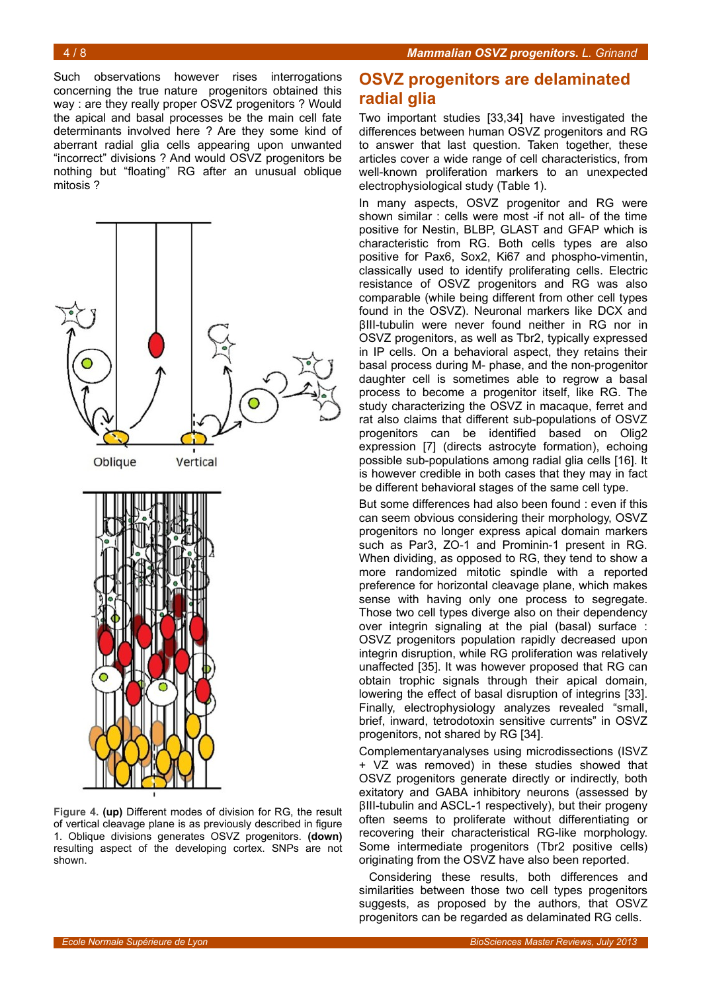Such observations however rises interrogations concerning the true nature progenitors obtained this way : are they really proper OSVZ progenitors ? Would the apical and basal processes be the main cell fate determinants involved here ? Are they some kind of aberrant radial glia cells appearing upon unwanted "incorrect" divisions ? And would OSVZ progenitors be nothing but "floating" RG after an unusual oblique mitosis ?



<span id="page-3-0"></span>**Figure 4. (up)** Different modes of division for RG, the result of vertical cleavage plane is as previously described in figure [1.](#page-1-0) Oblique divisions generates OSVZ progenitors. **(down)** resulting aspect of the developing cortex. SNPs are not shown.

## **OSVZ progenitors are delaminated radial glia**

Two important studies [33,34] have investigated the differences between human OSVZ progenitors and RG to answer that last question. Taken together, these articles cover a wide range of cell characteristics, from well-known proliferation markers to an unexpected electrophysiological study (Table [1\)](#page-4-0).

In many aspects, OSVZ progenitor and RG were shown similar : cells were most -if not all- of the time positive for Nestin, BLBP, GLAST and GFAP which is characteristic from RG. Both cells types are also positive for Pax6, Sox2, Ki67 and phospho-vimentin, classically used to identify proliferating cells. Electric resistance of OSVZ progenitors and RG was also comparable (while being different from other cell types found in the OSVZ). Neuronal markers like DCX and βIII-tubulin were never found neither in RG nor in OSVZ progenitors, as well as Tbr2, typically expressed in IP cells. On a behavioral aspect, they retains their basal process during M- phase, and the non-progenitor daughter cell is sometimes able to regrow a basal process to become a progenitor itself, like RG. The study characterizing the OSVZ in macaque, ferret and rat also claims that different sub-populations of OSVZ progenitors can be identified based on Olig2 expression [7] (directs astrocyte formation), echoing possible sub-populations among radial glia cells [16]. It is however credible in both cases that they may in fact be different behavioral stages of the same cell type.

But some differences had also been found : even if this can seem obvious considering their morphology, OSVZ progenitors no longer express apical domain markers such as Par3, ZO-1 and Prominin-1 present in RG. When dividing, as opposed to RG, they tend to show a more randomized mitotic spindle with a reported preference for horizontal cleavage plane, which makes sense with having only one process to segregate. Those two cell types diverge also on their dependency over integrin signaling at the pial (basal) surface : OSVZ progenitors population rapidly decreased upon integrin disruption, while RG proliferation was relatively unaffected [35]. It was however proposed that RG can obtain trophic signals through their apical domain, lowering the effect of basal disruption of integrins [33]. Finally, electrophysiology analyzes revealed "small, brief, inward, tetrodotoxin sensitive currents" in OSVZ progenitors, not shared by RG [34].

Complementaryanalyses using microdissections (ISVZ + VZ was removed) in these studies showed that OSVZ progenitors generate directly or indirectly, both exitatory and GABA inhibitory neurons (assessed by βIII-tubulin and ASCL-1 respectively), but their progeny often seems to proliferate without differentiating or recovering their characteristical RG-like morphology. Some intermediate progenitors (Tbr2 positive cells) originating from the OSVZ have also been reported.

Considering these results, both differences and similarities between those two cell types progenitors suggests, as proposed by the authors, that OSVZ progenitors can be regarded as delaminated RG cells.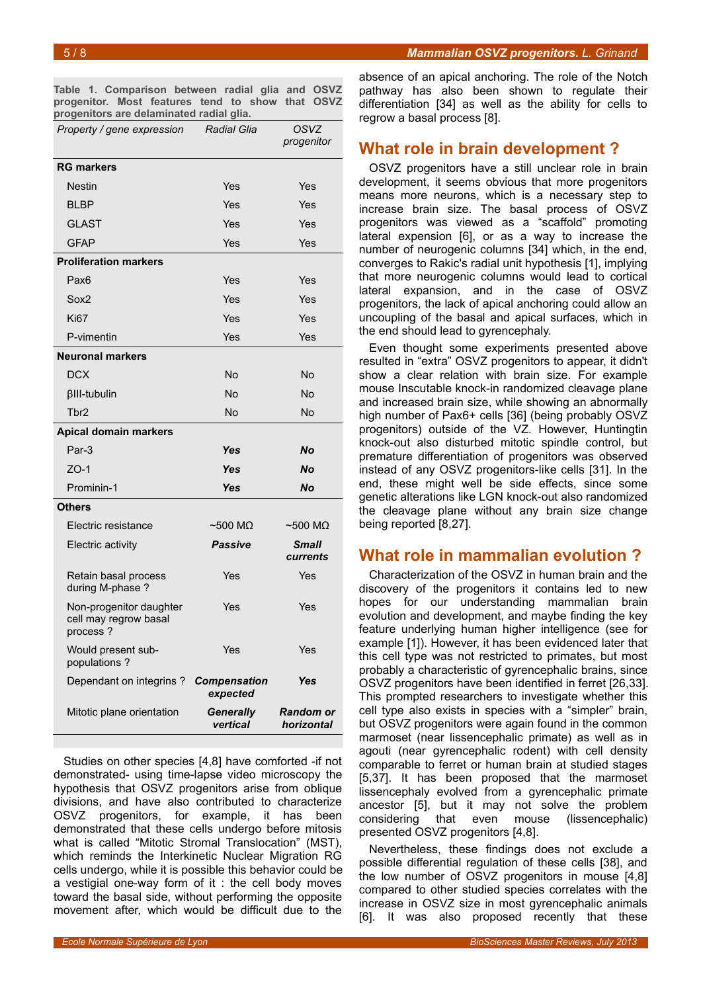<span id="page-4-0"></span>**Table 1. Comparison between radial glia and OSVZ progenitor. Most features tend to show that OSVZ progenitors are delaminated radial glia.**

| Property / gene expression                                   | <b>Radial Glia</b>              | OSVZ<br>progenitor             |
|--------------------------------------------------------------|---------------------------------|--------------------------------|
| <b>RG markers</b>                                            |                                 |                                |
| <b>Nestin</b>                                                | Yes                             | Yes                            |
| <b>BLBP</b>                                                  | Yes                             | Yes                            |
| <b>GLAST</b>                                                 | Yes                             | Yes                            |
| <b>GFAP</b>                                                  | Yes                             | Yes                            |
| <b>Proliferation markers</b>                                 |                                 |                                |
| Pax <sub>6</sub>                                             | Yes                             | Yes                            |
| Sox2                                                         | Yes                             | Yes                            |
| <b>Ki67</b>                                                  | Yes                             | Yes                            |
| P-vimentin                                                   | Yes                             | Yes                            |
| <b>Neuronal markers</b>                                      |                                 |                                |
| <b>DCX</b>                                                   | No                              | No                             |
| <b>BIII-tubulin</b>                                          | No                              | No                             |
| Tbr2                                                         | <b>No</b>                       | No                             |
| <b>Apical domain markers</b>                                 |                                 |                                |
| Par-3                                                        | Yes                             | <b>No</b>                      |
| $ZO-1$                                                       | Yes                             | <b>No</b>                      |
| Prominin-1                                                   | <b>Yes</b>                      | <b>No</b>                      |
| <b>Others</b>                                                |                                 |                                |
| Electric resistance                                          | $\sim$ 500 MQ                   | $~500~\text{M}\Omega$          |
| Electric activity                                            | <b>Passive</b>                  | Small<br>currents              |
| Retain basal process<br>during M-phase ?                     | Yes                             | Yes                            |
| Non-progenitor daughter<br>cell may regrow basal<br>process? | Yes                             | Yes                            |
| Would present sub-<br>populations?                           | Yes                             | Yes                            |
| Dependant on integrins?                                      | <b>Compensation</b><br>expected | Yes                            |
| Mitotic plane orientation                                    | <b>Generally</b><br>vertical    | <b>Random or</b><br>horizontal |

Studies on other species [4,8] have comforted -if not demonstrated- using time-lapse video microscopy the hypothesis that OSVZ progenitors arise from oblique divisions, and have also contributed to characterize OSVZ progenitors, for example, it has been demonstrated that these cells undergo before mitosis what is called "Mitotic Stromal Translocation" (MST), which reminds the Interkinetic Nuclear Migration RG cells undergo, while it is possible this behavior could be a vestigial one-way form of it : the cell body moves toward the basal side, without performing the opposite movement after, which would be difficult due to the

absence of an apical anchoring. The role of the Notch pathway has also been shown to regulate their differentiation [34] as well as the ability for cells to regrow a basal process [8].

### **What role in brain development ?**

OSVZ progenitors have a still unclear role in brain development, it seems obvious that more progenitors means more neurons, which is a necessary step to increase brain size. The basal process of OSVZ progenitors was viewed as a "scaffold" promoting lateral expension [6], or as a way to increase the number of neurogenic columns [34] which, in the end, converges to Rakic's radial unit hypothesis [1], implying that more neurogenic columns would lead to cortical lateral expansion, and in the case of OSVZ progenitors, the lack of apical anchoring could allow an uncoupling of the basal and apical surfaces, which in the end should lead to gyrencephaly.

Even thought some experiments presented above resulted in "extra" OSVZ progenitors to appear, it didn't show a clear relation with brain size. For example mouse Inscutable knock-in randomized cleavage plane and increased brain size, while showing an abnormally high number of Pax6+ cells [36] (being probably OSVZ progenitors) outside of the VZ. However, Huntingtin knock-out also disturbed mitotic spindle control, but premature differentiation of progenitors was observed instead of any OSVZ progenitors-like cells [31]. In the end, these might well be side effects, since some genetic alterations like LGN knock-out also randomized the cleavage plane without any brain size change being reported [8,27].

#### **What role in mammalian evolution ?**

Characterization of the OSVZ in human brain and the discovery of the progenitors it contains led to new hopes for our understanding mammalian brain evolution and development, and maybe finding the key feature underlying human higher intelligence (see for example [1]). However, it has been evidenced later that this cell type was not restricted to primates, but most probably a characteristic of gyrencephalic brains, since OSVZ progenitors have been identified in ferret [26,33]. This prompted researchers to investigate whether this cell type also exists in species with a "simpler" brain, but OSVZ progenitors were again found in the common marmoset (near lissencephalic primate) as well as in agouti (near gyrencephalic rodent) with cell density comparable to ferret or human brain at studied stages [5,37]. It has been proposed that the marmoset lissencephaly evolved from a gyrencephalic primate ancestor [5], but it may not solve the problem considering that even mouse (lissencephalic) presented OSVZ progenitors [4,8].

Nevertheless, these findings does not exclude a possible differential regulation of these cells [38], and the low number of OSVZ progenitors in mouse [4,8] compared to other studied species correlates with the increase in OSVZ size in most gyrencephalic animals [6]. It was also proposed recently that these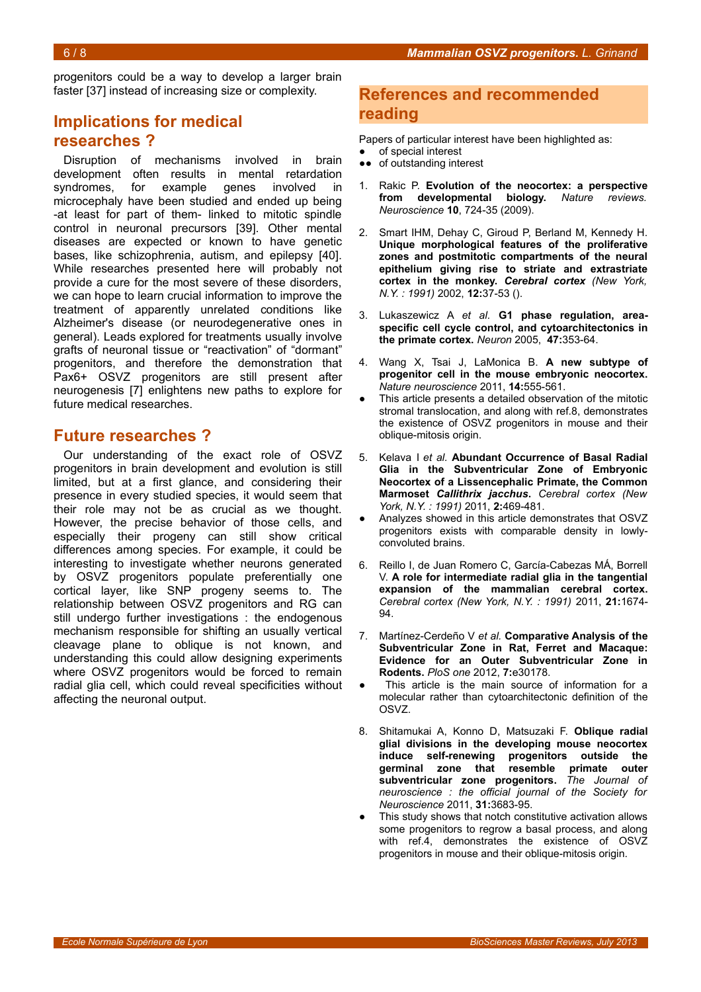progenitors could be a way to develop a larger brain faster [37] instead of increasing size or complexity.

# **Implications for medical researches ?**

Disruption of mechanisms involved in brain development often results in mental retardation syndromes, for example genes involved in microcephaly have been studied and ended up being -at least for part of them- linked to mitotic spindle control in neuronal precursors [39]. Other mental diseases are expected or known to have genetic bases, like schizophrenia, autism, and epilepsy [40]. While researches presented here will probably not provide a cure for the most severe of these disorders, we can hope to learn crucial information to improve the treatment of apparently unrelated conditions like Alzheimer's disease (or neurodegenerative ones in general). Leads explored for treatments usually involve grafts of neuronal tissue or "reactivation" of "dormant" progenitors, and therefore the demonstration that Pax6+ OSVZ progenitors are still present after neurogenesis [7] enlightens new paths to explore for future medical researches.

### **Future researches ?**

Our understanding of the exact role of OSVZ progenitors in brain development and evolution is still limited, but at a first glance, and considering their presence in every studied species, it would seem that their role may not be as crucial as we thought. However, the precise behavior of those cells, and especially their progeny can still show critical differences among species. For example, it could be interesting to investigate whether neurons generated by OSVZ progenitors populate preferentially one cortical layer, like SNP progeny seems to. The relationship between OSVZ progenitors and RG can still undergo further investigations : the endogenous mechanism responsible for shifting an usually vertical cleavage plane to oblique is not known, and understanding this could allow designing experiments where OSVZ progenitors would be forced to remain radial glia cell, which could reveal specificities without affecting the neuronal output.

#### **References and recommended reading**

Papers of particular interest have been highlighted as:

- of special interest
- ●● of outstanding interest
- 1. Rakic P. **Evolution of the neocortex: a perspective from developmental biology.** *Nature reviews. Neuroscience* **10**, 724-35 (2009).
- 2. Smart IHM, Dehay C, Giroud P, Berland M, Kennedy H. **Unique morphological features of the proliferative zones and postmitotic compartments of the neural epithelium giving rise to striate and extrastriate cortex in the monkey.** *Cerebral cortex (New York, N.Y. : 1991)* 2002, **12:**37-53 ().
- 3. Lukaszewicz A *et al.* **G1 phase regulation, areaspecific cell cycle control, and cytoarchitectonics in the primate cortex.** *Neuron* 2005, **47:**353-64.
- 4. Wang X, Tsai J, LaMonica B. **A new subtype of progenitor cell in the mouse embryonic neocortex.** *Nature neuroscience* 2011, **14:**555-561.
- This article presents a detailed observation of the mitotic stromal translocation, and along with ref.8, demonstrates the existence of OSVZ progenitors in mouse and their oblique-mitosis origin.
- 5. Kelava I *et al.* **Abundant Occurrence of Basal Radial Glia in the Subventricular Zone of Embryonic Neocortex of a Lissencephalic Primate, the Common Marmoset** *Callithrix jacchus***.** *Cerebral cortex (New York, N.Y. : 1991)* 2011, **2:**469-481.
- Analyzes showed in this article demonstrates that OSVZ progenitors exists with comparable density in lowlyconvoluted brains.
- 6. Reillo I, de Juan Romero C, García-Cabezas MÁ, Borrell V. **A role for intermediate radial glia in the tangential expansion of the mammalian cerebral cortex.** *Cerebral cortex (New York, N.Y. : 1991)* 2011, **21:**1674- 94.
- 7. Martínez-Cerdeño V *et al.* **Comparative Analysis of the Subventricular Zone in Rat, Ferret and Macaque: Evidence for an Outer Subventricular Zone in Rodents.** *PloS one* 2012, **7:**e30178.
- This article is the main source of information for a molecular rather than cytoarchitectonic definition of the OSVZ.
- 8. Shitamukai A, Konno D, Matsuzaki F. **Oblique radial glial divisions in the developing mouse neocortex induce self-renewing progenitors outside the germinal zone that resemble primate outer subventricular zone progenitors.** *The Journal of neuroscience : the official journal of the Society for Neuroscience* 2011, **31:**3683-95.
- This study shows that notch constitutive activation allows some progenitors to regrow a basal process, and along with ref.4, demonstrates the existence of OSVZ progenitors in mouse and their oblique-mitosis origin.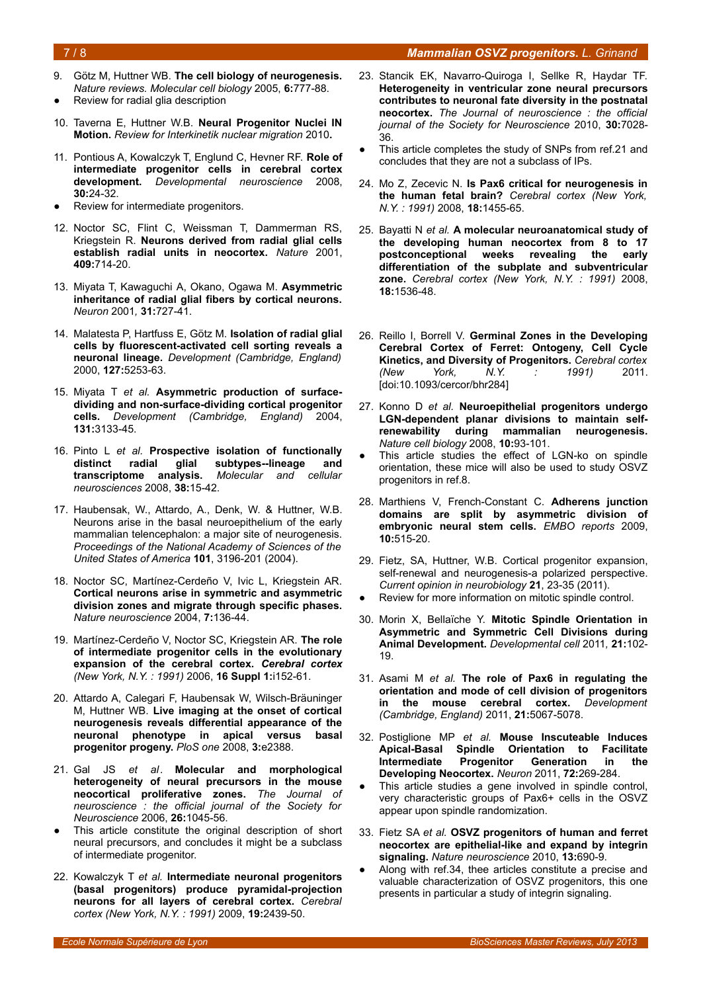#### 7 / 8 *Mammalian OSVZ progenitors. L. Grinand*

- 9. Götz M, Huttner WB. **The cell biology of neurogenesis.** *Nature reviews. Molecular cell biology* 2005, **6:**777-88.
- Review for radial glia description
- 10. Taverna E, Huttner W.B. **Neural Progenitor Nuclei IN Motion.** *Review for Interkinetik nuclear migration* 2010**.**
- 11. Pontious A, Kowalczyk T, Englund C, Hevner RF. **Role of intermediate progenitor cells in cerebral cortex development.** *Developmental neuroscience* 2008, **30:**24-32.
- Review for intermediate progenitors.
- 12. Noctor SC, Flint C, Weissman T, Dammerman RS, Kriegstein R. **Neurons derived from radial glial cells establish radial units in neocortex.** *Nature* 2001, **409:**714-20.
- 13. Miyata T, Kawaguchi A, Okano, Ogawa M. **Asymmetric inheritance of radial glial fibers by cortical neurons.** *Neuron* 2001*,* **31:**727-41.
- 14. Malatesta P, Hartfuss E, Götz M. **Isolation of radial glial cells by fluorescent-activated cell sorting reveals a neuronal lineage.** *Development (Cambridge, England)* 2000, **127:**5253-63.
- 15. Miyata T *et al.* **Asymmetric production of surfacedividing and non-surface-dividing cortical progenitor cells.** *Development (Cambridge, England)* 2004, **131:**3133-45.
- 16. Pinto L *et al.* **Prospective isolation of functionally distinct radial glial subtypes--lineage and transcriptome analysis.** *Molecular and cellular neurosciences* 2008, **38:**15-42.
- 17. Haubensak, W., Attardo, A., Denk, W. & Huttner, W.B. Neurons arise in the basal neuroepithelium of the early mammalian telencephalon: a major site of neurogenesis. *Proceedings of the National Academy of Sciences of the United States of America* **101**, 3196-201 (2004).
- 18. Noctor SC, Martínez-Cerdeño V, Ivic L, Kriegstein AR. **Cortical neurons arise in symmetric and asymmetric division zones and migrate through specific phases.** *Nature neuroscience* 2004, **7:**136-44.
- 19. Martínez-Cerdeño V, Noctor SC, Kriegstein AR. **The role of intermediate progenitor cells in the evolutionary expansion of the cerebral cortex.** *Cerebral cortex (New York, N.Y. : 1991)* 2006, **16 Suppl 1:**i152-61.
- 20. Attardo A, Calegari F, Haubensak W, Wilsch-Bräuninger M, Huttner WB. **Live imaging at the onset of cortical neurogenesis reveals differential appearance of the neuronal phenotype in apical versus basal progenitor progeny.** *PloS one* 2008, **3:**e2388.
- 21. Gal JS *et al.* **Molecular and morphological heterogeneity of neural precursors in the mouse neocortical proliferative zones.** *The Journal of neuroscience : the official journal of the Society for Neuroscience* 2006, **26:**1045-56.
- This article constitute the original description of short neural precursors, and concludes it might be a subclass of intermediate progenitor.
- 22. Kowalczyk T *et al.* **Intermediate neuronal progenitors (basal progenitors) produce pyramidal-projection neurons for all layers of cerebral cortex.** *Cerebral cortex (New York, N.Y. : 1991)* 2009, **19:**2439-50.
- 23. Stancik EK, Navarro-Quiroga I, Sellke R, Haydar TF. **Heterogeneity in ventricular zone neural precursors contributes to neuronal fate diversity in the postnatal neocortex.** *The Journal of neuroscience : the official journal of the Society for Neuroscience* 2010, **30:**7028- 36.
- This article completes the study of SNPs from ref.21 and concludes that they are not a subclass of IPs.
- 24. Mo Z, Zecevic N. **Is Pax6 critical for neurogenesis in the human fetal brain?** *Cerebral cortex (New York, N.Y. : 1991)* 2008, **18:**1455-65.
- 25. Bayatti N *et al.* **A molecular neuroanatomical study of the developing human neocortex from 8 to 17** weeks revealing the early **differentiation of the subplate and subventricular zone.** *Cerebral cortex (New York, N.Y. : 1991)* 2008, **18:**1536-48.
- 26. Reillo I, Borrell V. **Germinal Zones in the Developing Cerebral Cortex of Ferret: Ontogeny, Cell Cycle Kinetics, and Diversity of Progenitors.** *Cerebral cortex (New York, N.Y. : 1991)* 2011. [doi:10.1093/cercor/bhr284]
- 27. Konno D *et al.* **Neuroepithelial progenitors undergo LGN-dependent planar divisions to maintain selfrenewability during mammalian neurogenesis.** *Nature cell biology* 2008, **10:**93-101.
- This article studies the effect of LGN-ko on spindle orientation, these mice will also be used to study OSVZ progenitors in ref.8.
- 28. Marthiens V, French-Constant C. **Adherens junction domains are split by asymmetric division of embryonic neural stem cells.** *EMBO reports* 2009, **10:**515-20.
- 29. Fietz, SA, Huttner, W.B. Cortical progenitor expansion, self-renewal and neurogenesis-a polarized perspective. *Current opinion in neurobiology* **21**, 23-35 (2011).
- Review for more information on mitotic spindle control.
- 30. Morin X, Bellaïche Y. **Mitotic Spindle Orientation in Asymmetric and Symmetric Cell Divisions during Animal Development.** *Developmental cell* 2011*,* **21:**102- 19.
- 31. Asami M *et al.* **The role of Pax6 in regulating the orientation and mode of cell division of progenitors in the mouse cerebral cortex.** *Development (Cambridge, England)* 2011, **21:**5067-5078.
- 32. Postiglione MP *et al.* **Mouse Inscuteable Induces Apical-Basal Spindle Orientation to Facilitate Intermediate Progenitor Generation in the Developing Neocortex.** *Neuron* 2011, **72:**269-284.
- This article studies a gene involved in spindle control, very characteristic groups of Pax6+ cells in the OSVZ appear upon spindle randomization.
- 33. Fietz SA *et al.* **OSVZ progenitors of human and ferret neocortex are epithelial-like and expand by integrin signaling.** *Nature neuroscience* 2010, **13:**690-9.
- Along with ref.34, thee articles constitute a precise and valuable characterization of OSVZ progenitors, this one presents in particular a study of integrin signaling.